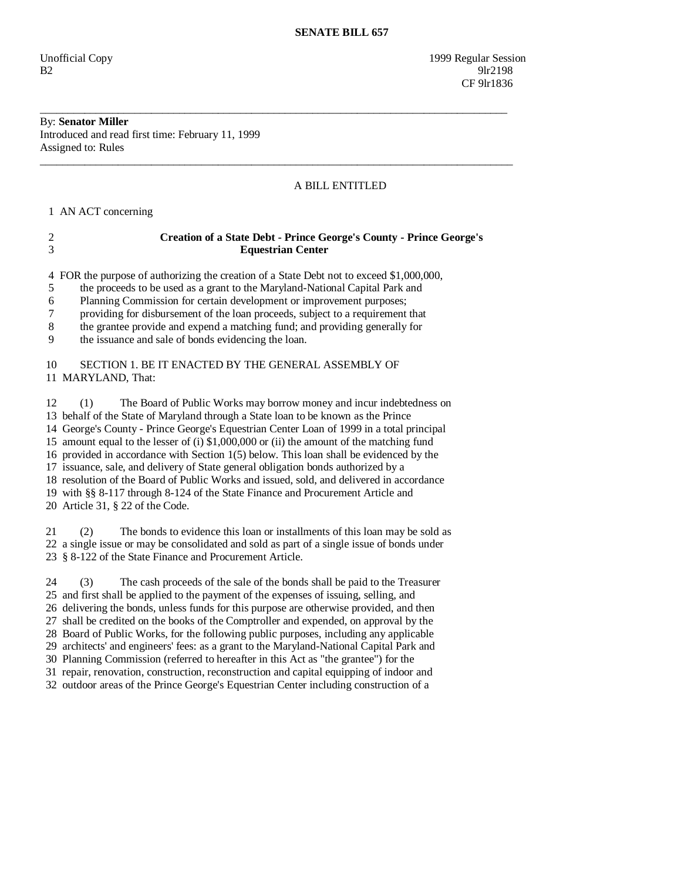Unofficial Copy 1999 Regular Session  $B2$  9lr2198 **CF** 9lr1836

## By: **Senator Miller**  Introduced and read first time: February 11, 1999 Assigned to: Rules

# A BILL ENTITLED

1 AN ACT concerning

| <b>Creation of a State Debt - Prince George's County - Prince George's</b> |
|----------------------------------------------------------------------------|
| <b>Equestrian Center</b>                                                   |

\_\_\_\_\_\_\_\_\_\_\_\_\_\_\_\_\_\_\_\_\_\_\_\_\_\_\_\_\_\_\_\_\_\_\_\_\_\_\_\_\_\_\_\_\_\_\_\_\_\_\_\_\_\_\_\_\_\_\_\_\_\_\_\_\_\_\_\_\_\_\_\_\_\_\_\_\_\_\_\_\_\_\_\_

\_\_\_\_\_\_\_\_\_\_\_\_\_\_\_\_\_\_\_\_\_\_\_\_\_\_\_\_\_\_\_\_\_\_\_\_\_\_\_\_\_\_\_\_\_\_\_\_\_\_\_\_\_\_\_\_\_\_\_\_\_\_\_\_\_\_\_\_\_\_\_\_\_\_\_\_\_\_\_\_\_\_\_\_\_

4 FOR the purpose of authorizing the creation of a State Debt not to exceed \$1,000,000,

5 the proceeds to be used as a grant to the Maryland-National Capital Park and

6 Planning Commission for certain development or improvement purposes;

7 providing for disbursement of the loan proceeds, subject to a requirement that

8 the grantee provide and expend a matching fund; and providing generally for

9 the issuance and sale of bonds evidencing the loan.

# 10 SECTION 1. BE IT ENACTED BY THE GENERAL ASSEMBLY OF 11 MARYLAND, That:

 12 (1) The Board of Public Works may borrow money and incur indebtedness on 13 behalf of the State of Maryland through a State loan to be known as the Prince 14 George's County - Prince George's Equestrian Center Loan of 1999 in a total principal 15 amount equal to the lesser of (i) \$1,000,000 or (ii) the amount of the matching fund 16 provided in accordance with Section 1(5) below. This loan shall be evidenced by the 17 issuance, sale, and delivery of State general obligation bonds authorized by a 18 resolution of the Board of Public Works and issued, sold, and delivered in accordance 19 with §§ 8-117 through 8-124 of the State Finance and Procurement Article and 20 Article 31, § 22 of the Code.

 21 (2) The bonds to evidence this loan or installments of this loan may be sold as 22 a single issue or may be consolidated and sold as part of a single issue of bonds under 23 § 8-122 of the State Finance and Procurement Article.

 24 (3) The cash proceeds of the sale of the bonds shall be paid to the Treasurer 25 and first shall be applied to the payment of the expenses of issuing, selling, and 26 delivering the bonds, unless funds for this purpose are otherwise provided, and then 27 shall be credited on the books of the Comptroller and expended, on approval by the 28 Board of Public Works, for the following public purposes, including any applicable 29 architects' and engineers' fees: as a grant to the Maryland-National Capital Park and 30 Planning Commission (referred to hereafter in this Act as "the grantee") for the 31 repair, renovation, construction, reconstruction and capital equipping of indoor and 32 outdoor areas of the Prince George's Equestrian Center including construction of a